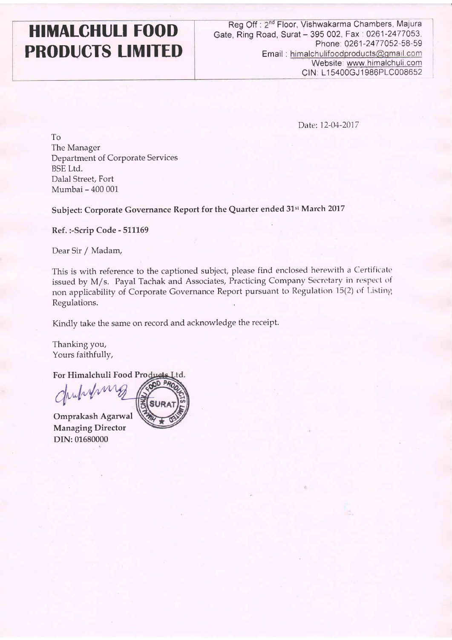## HIMALGHULI FOOD PRODUCTS LIMITED

Reg Off : 2<sup>nd</sup> Floor, Vishwakarma Chambers, Majura Gate, Ring Road, Surat - 395 002, Fax: 0261-2477053, Phone: 0261-2477052-58-59 Email: himalchulifoodproducts@gmail.com Website: www.himalchuli.com CIN: L15400GJ1986PLC008652

Date: I2-04-2017

To The Manager Department of Corporate Services BSE Ltd. Dalal Street, Fort Mumbai - 400 001

Subject: Corporate Governance Report for the Quarter ended 31st March 2017

Ref. :- Scrip Code - 511169

Dear Sir / Madam,

This is with reference to the captioned subject, please find enclosed herewith a Certificate issued by M/s. Payal Tachak and Associates, Practicing Company Secretary in respect of non applicability of Corporate Governance Report pursuant to Regulation 15(2) of Listing Regulations.

Kindly take the same on record and acknowledge the receipt.

Thanking you, Yours faithfully,

DIN: 01680000

For Himalchuli Food Pro I.td.

Omprakash Agarwal Managing Director